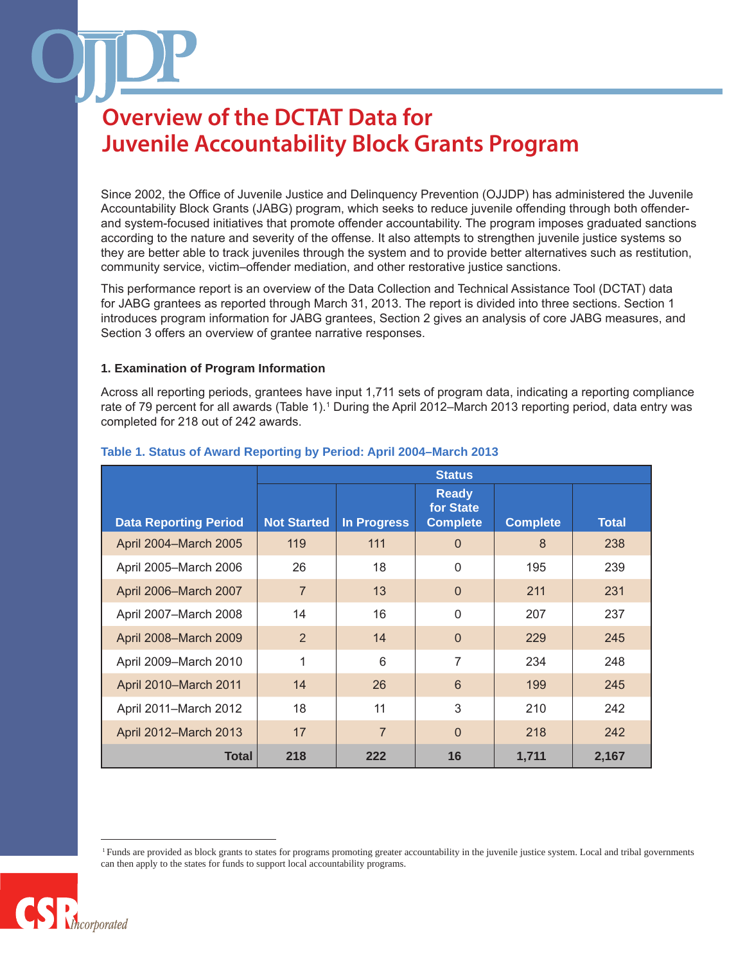Since 2002, the Office of Juvenile Justice and Delinquency Prevention (OJJDP) has administered the Juvenile Accountability Block Grants (JABG) program, which seeks to reduce juvenile offending through both offenderand system-focused initiatives that promote offender accountability. The program imposes graduated sanctions according to the nature and severity of the offense. It also attempts to strengthen juvenile justice systems so they are better able to track juveniles through the system and to provide better alternatives such as restitution, community service, victim–offender mediation, and other restorative justice sanctions.

This performance report is an overview of the Data Collection and Technical Assistance Tool (DCTAT) data for JABG grantees as reported through March 31, 2013. The report is divided into three sections. Section 1 introduces program information for JABG grantees, Section 2 gives an analysis of core JABG measures, and Section 3 offers an overview of grantee narrative responses.

### **1. Examination of Program Information**

Across all reporting periods, grantees have input 1,711 sets of program data, indicating a reporting compliance rate of 79 percent for all awards (Table 1).<sup>1</sup> During the April 2012–March 2013 reporting period, data entry was completed for 218 out of 242 awards.

|                              | <b>Status</b>      |                    |                                              |                 |              |
|------------------------------|--------------------|--------------------|----------------------------------------------|-----------------|--------------|
| <b>Data Reporting Period</b> | <b>Not Started</b> | <b>In Progress</b> | <b>Ready</b><br>for State<br><b>Complete</b> | <b>Complete</b> | <b>Total</b> |
| April 2004-March 2005        | 119                | 111                | $\overline{0}$                               | 8               | 238          |
| April 2005-March 2006        | 26                 | 18                 | $\Omega$                                     | 195             | 239          |
| April 2006-March 2007        | $\overline{7}$     | 13                 | $\Omega$                                     | 211             | 231          |
| April 2007-March 2008        | 14                 | 16                 | $\Omega$                                     | 207             | 237          |
| April 2008-March 2009        | $\overline{2}$     | 14                 | $\Omega$                                     | 229             | 245          |
| April 2009-March 2010        | 1                  | 6                  | 7                                            | 234             | 248          |
| April 2010-March 2011        | 14                 | 26                 | 6                                            | 199             | 245          |
| April 2011-March 2012        | 18                 | 11                 | 3                                            | 210             | 242          |
| April 2012-March 2013        | 17                 | 7                  | $\Omega$                                     | 218             | 242          |
| <b>Total</b>                 | 218                | 222                | 16                                           | 1,711           | 2,167        |

### **Table 1. Status of Award Reporting by Period: April 2004–March 2013**

 <sup>1</sup> Funds are provided as block grants to states for programs promoting greater accountability in the juvenile justice system. Local and tribal governments can then apply to the states for funds to support local accountability programs.

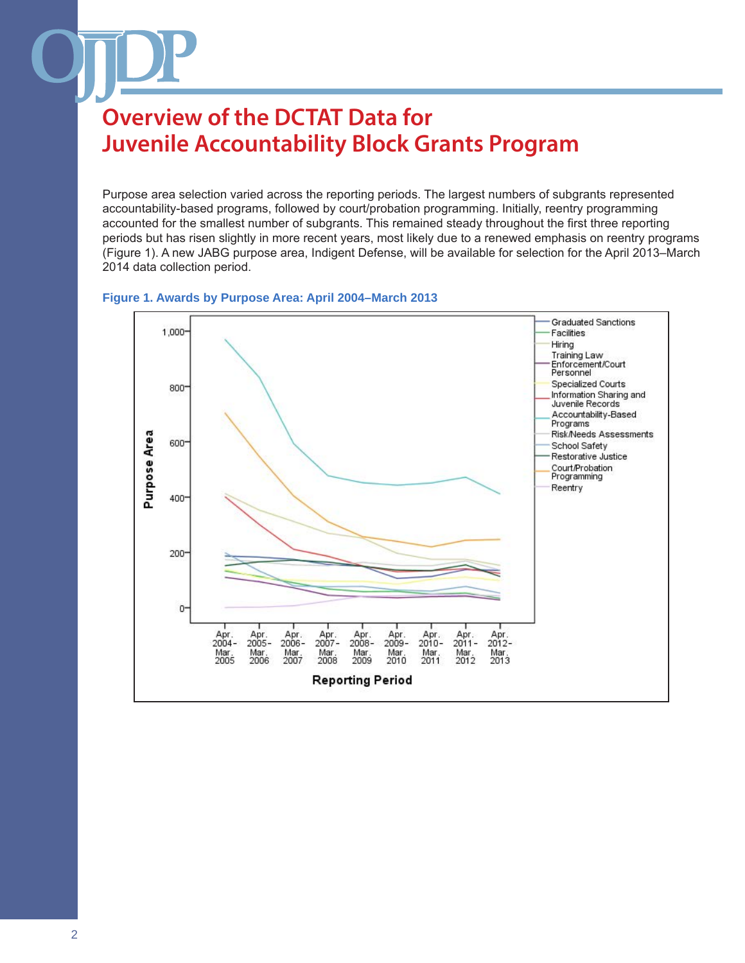Purpose area selection varied across the reporting periods. The largest numbers of subgrants represented accountability-based programs, followed by court/probation programming. Initially, reentry programming accounted for the smallest number of subgrants. This remained steady throughout the first three reporting periods but has risen slightly in more recent years, most likely due to a renewed emphasis on reentry programs (Figure 1). A new JABG purpose area, Indigent Defense, will be available for selection for the April 2013–March 2014 data collection period.



#### **Figure 1. Awards by Purpose Area: April 2004–March 2013**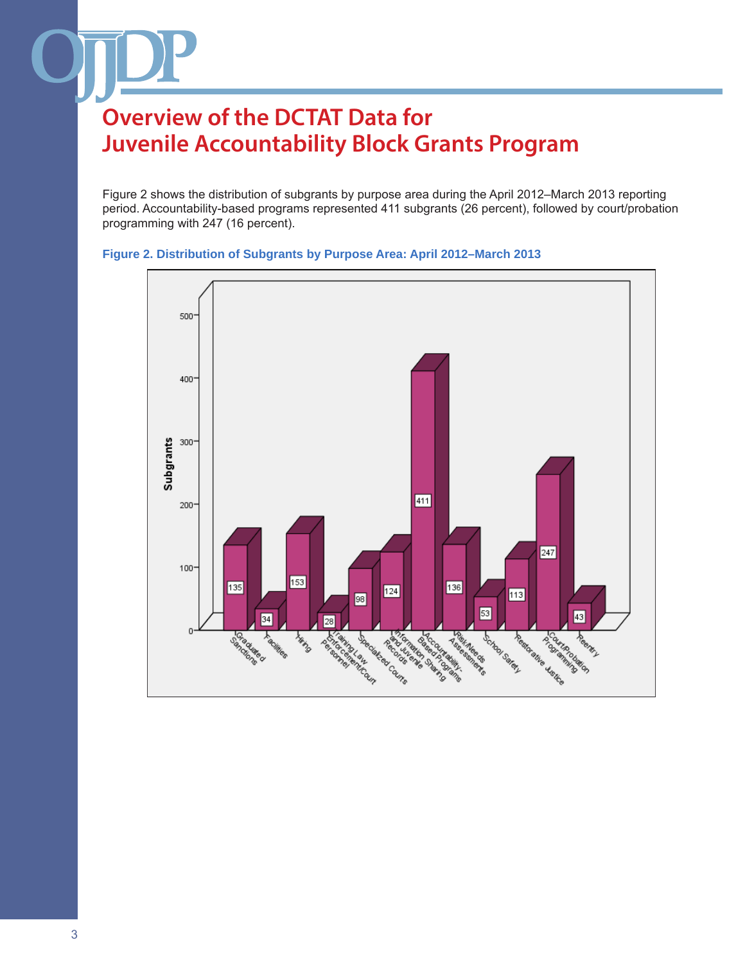Figure 2 shows the distribution of subgrants by purpose area during the April 2012–March 2013 reporting period. Accountability-based programs represented 411 subgrants (26 percent), followed by court/probation programming with 247 (16 percent).



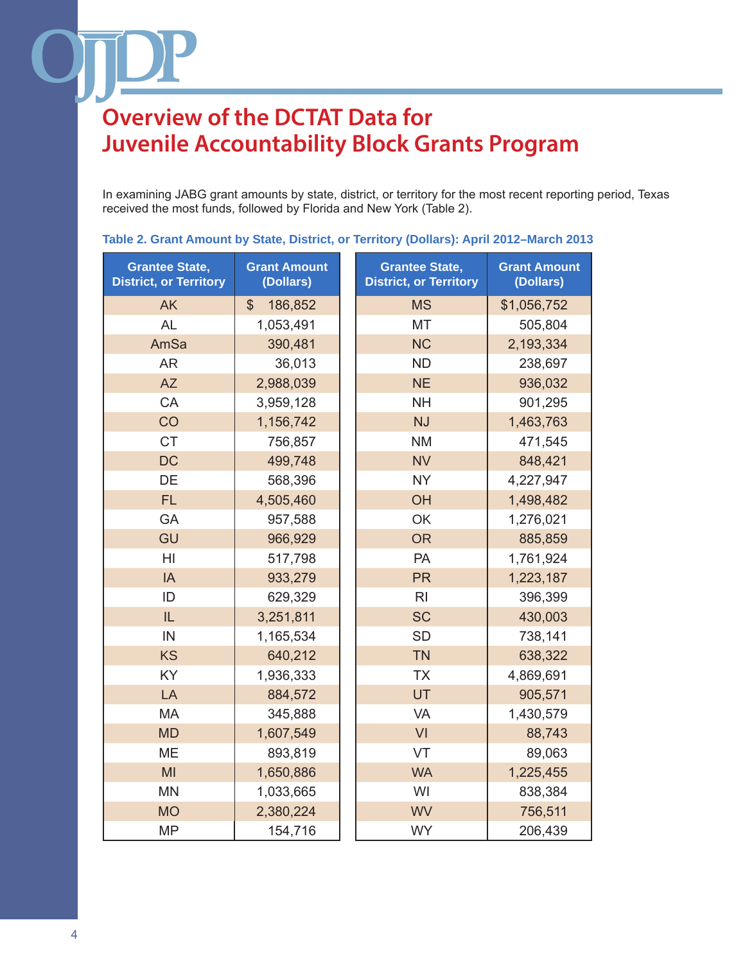In examining JABG grant amounts by state, district, or territory for the most recent reporting period, Texas received the most funds, followed by Florida and New York (Table 2).

**Table 2. Grant Amount by State, District, or Territory (Dollars): April 2012–March 2013**

| <b>Grantee State,</b><br><b>District, or Territory</b> | <b>Grant Amount</b><br>(Dollars) | <b>Grantee State,</b><br><b>District, or Territory</b> | <b>Grant Amount</b><br>(Dollars) |
|--------------------------------------------------------|----------------------------------|--------------------------------------------------------|----------------------------------|
| <b>AK</b>                                              | $\mathbb{S}$<br>186,852          | <b>MS</b>                                              | \$1,056,752                      |
| <b>AL</b>                                              | 1,053,491                        | <b>MT</b>                                              | 505,804                          |
| AmSa                                                   | 390,481                          | <b>NC</b>                                              | 2,193,334                        |
| <b>AR</b>                                              | 36,013                           | <b>ND</b>                                              | 238,697                          |
| <b>AZ</b>                                              | 2,988,039                        | <b>NE</b>                                              | 936,032                          |
| CA                                                     | 3,959,128                        | <b>NH</b>                                              | 901,295                          |
| CO                                                     | 1,156,742                        | <b>NJ</b>                                              | 1,463,763                        |
| <b>CT</b>                                              | 756,857                          | <b>NM</b>                                              | 471,545                          |
| <b>DC</b>                                              | 499,748                          | <b>NV</b>                                              | 848,421                          |
| DE                                                     | 568,396                          | <b>NY</b>                                              | 4,227,947                        |
| <b>FL</b>                                              | 4,505,460                        | OH                                                     | 1,498,482                        |
| GA                                                     | 957,588                          | OK                                                     | 1,276,021                        |
| GU                                                     | 966,929                          | <b>OR</b>                                              | 885,859                          |
| HI                                                     | 517,798                          | <b>PA</b>                                              | 1,761,924                        |
| IA                                                     | 933,279                          | <b>PR</b>                                              | 1,223,187                        |
| ID                                                     | 629,329                          | R <sub>l</sub>                                         | 396,399                          |
| IL                                                     | 3,251,811                        | <b>SC</b>                                              | 430,003                          |
| IN                                                     | 1,165,534                        | <b>SD</b>                                              | 738,141                          |
| <b>KS</b>                                              | 640,212                          | <b>TN</b>                                              | 638,322                          |
| KY                                                     | 1,936,333                        | <b>TX</b>                                              | 4,869,691                        |
| LA                                                     | 884,572                          | UT                                                     | 905,571                          |
| <b>MA</b>                                              | 345,888                          | <b>VA</b>                                              | 1,430,579                        |
| <b>MD</b>                                              | 1,607,549                        | VI                                                     | 88,743                           |
| <b>ME</b>                                              | 893,819                          | VT                                                     | 89,063                           |
| MI                                                     | 1,650,886                        | <b>WA</b>                                              | 1,225,455                        |
| <b>MN</b>                                              | 1,033,665                        | WI                                                     | 838,384                          |
| <b>MO</b>                                              | 2,380,224                        | <b>WV</b>                                              | 756,511                          |
| <b>MP</b>                                              | 154,716                          | <b>WY</b>                                              | 206,439                          |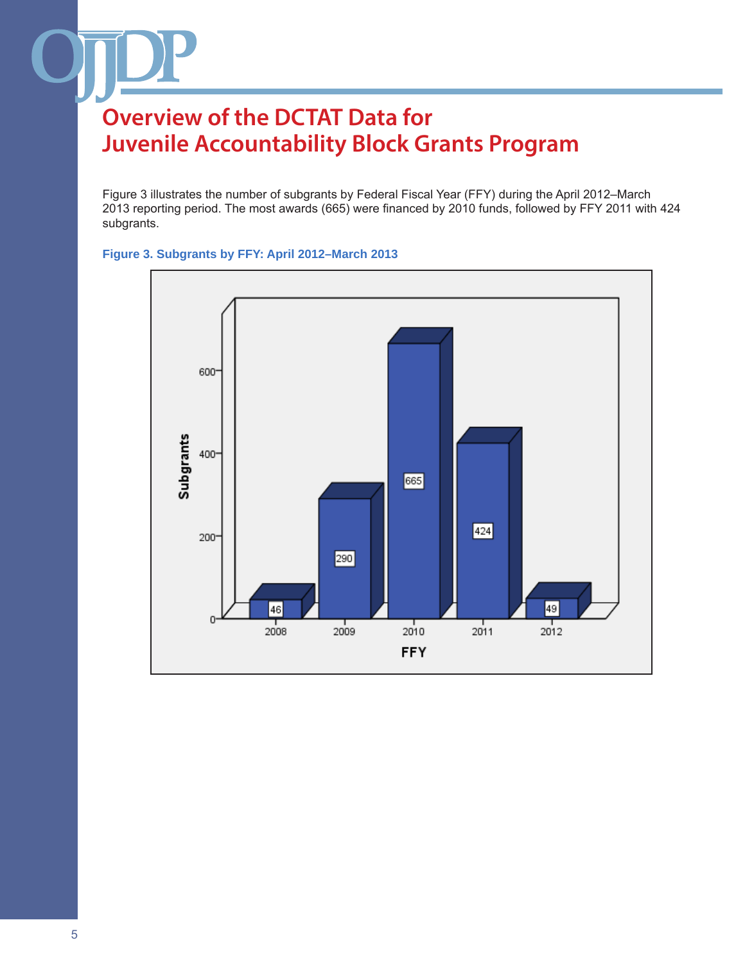Figure 3 illustrates the number of subgrants by Federal Fiscal Year (FFY) during the April 2012–March 2013 reporting period. The most awards (665) were financed by 2010 funds, followed by FFY 2011 with 424 subgrants.

### **Figure 3. Subgrants by FFY: April 2012–March 2013**

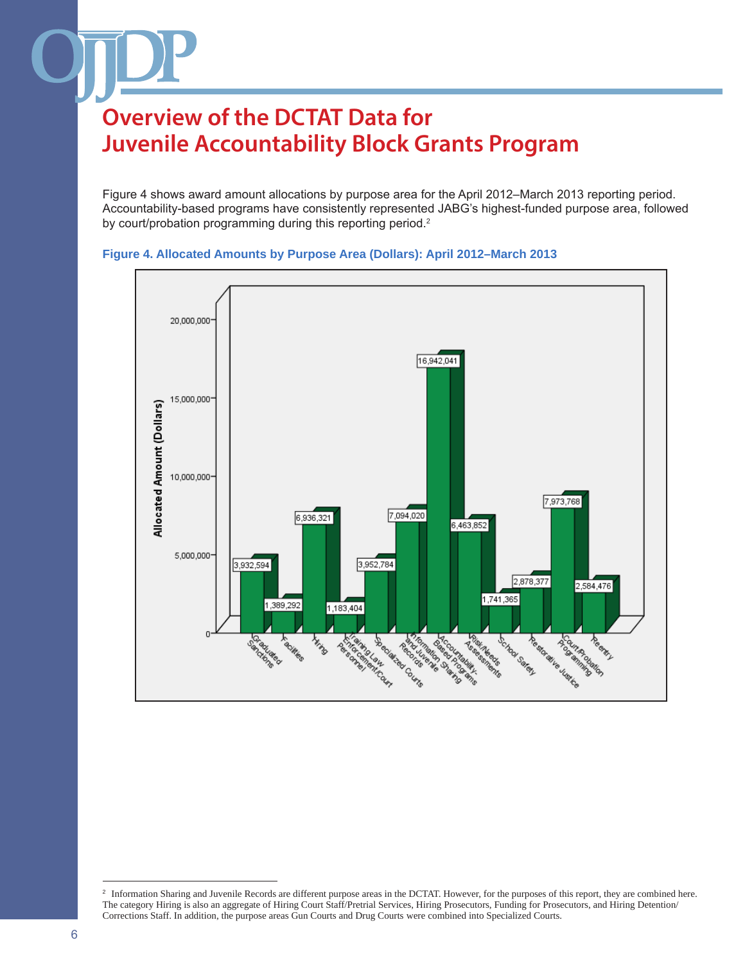Figure 4 shows award amount allocations by purpose area for the April 2012–March 2013 reporting period. Accountability-based programs have consistently represented JABG's highest-funded purpose area, followed by court/probation programming during this reporting period.<sup>2</sup>





<sup>&</sup>lt;sup>2</sup> Information Sharing and Juvenile Records are different purpose areas in the DCTAT. However, for the purposes of this report, they are combined here. The category Hiring is also an aggregate of Hiring Court Staff/Pretrial Services, Hiring Prosecutors, Funding for Prosecutors, and Hiring Detention/ Corrections Staff. In addition, the purpose areas Gun Courts and Drug Courts were combined into Specialized Courts.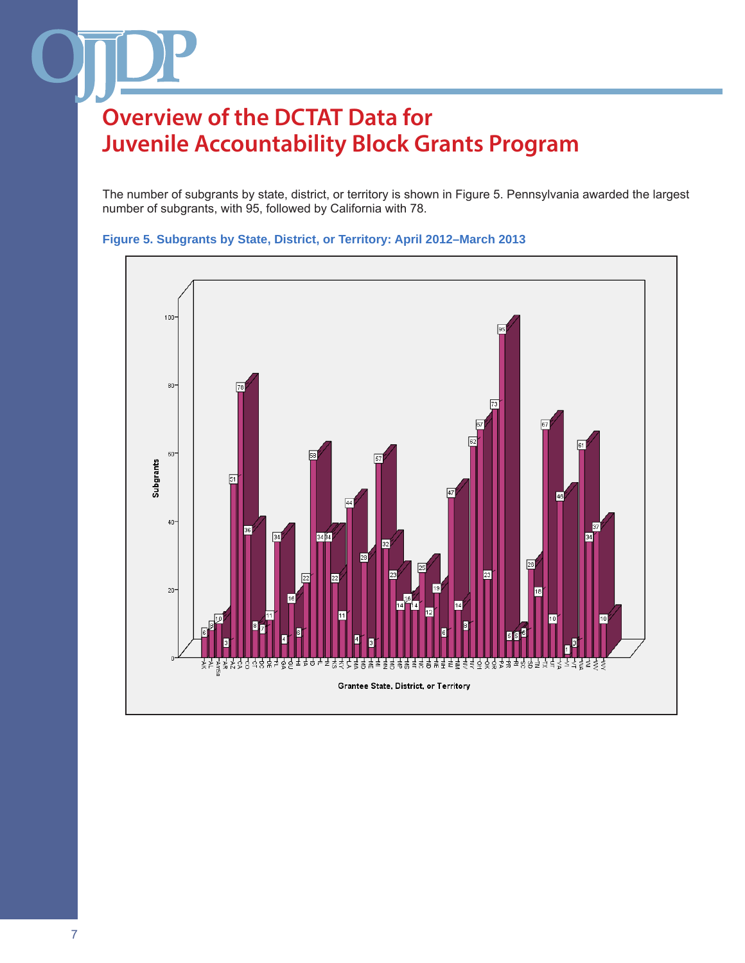The number of subgrants by state, district, or territory is shown in Figure 5. Pennsylvania awarded the largest number of subgrants, with 95, followed by California with 78.



### **Figure 5. Subgrants by State, District, or Territory: April 2012–March 2013**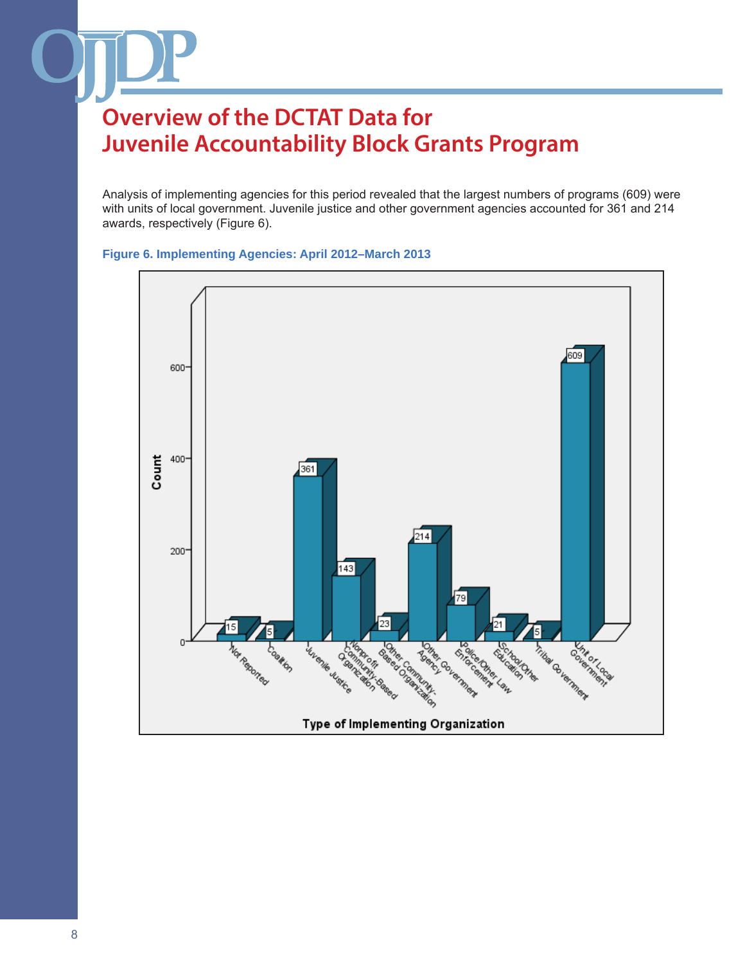Analysis of implementing agencies for this period revealed that the largest numbers of programs (609) were with units of local government. Juvenile justice and other government agencies accounted for 361 and 214 awards, respectively (Figure 6).



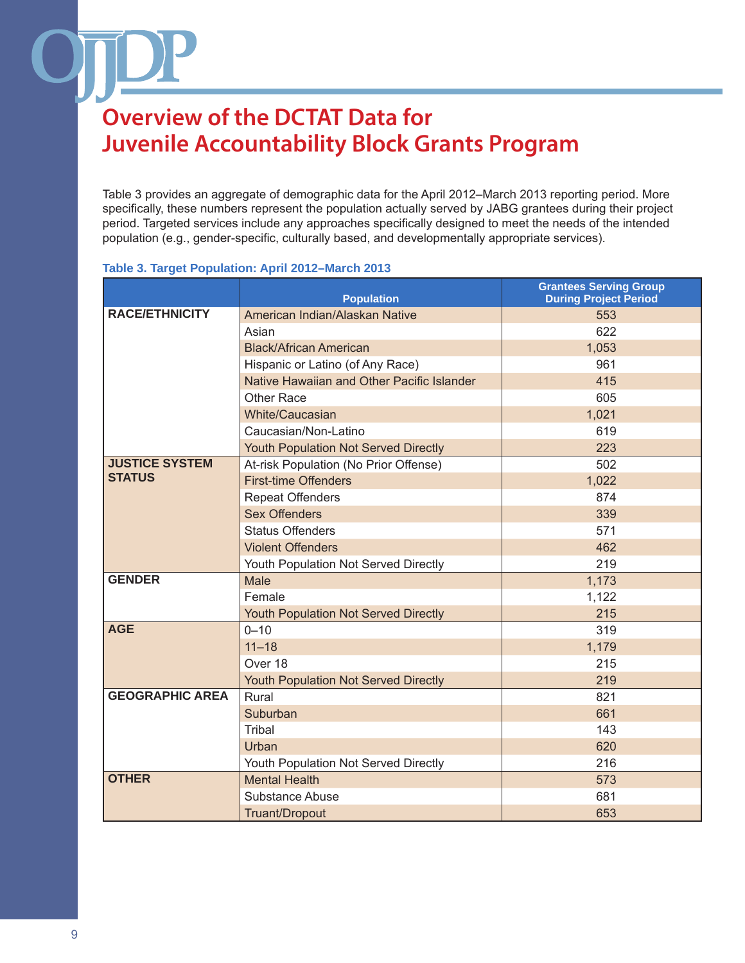Table 3 provides an aggregate of demographic data for the April 2012–March 2013 reporting period. More specifically, these numbers represent the population actually served by JABG grantees during their project period. Targeted services include any approaches specifically designed to meet the needs of the intended population (e.g., gender-specific, culturally based, and developmentally appropriate services).

### **Table 3. Target Population: April 2012–March 2013**

|                        | <b>Population</b>                           | <b>Grantees Serving Group</b><br><b>During Project Period</b> |
|------------------------|---------------------------------------------|---------------------------------------------------------------|
| <b>RACE/ETHNICITY</b>  | American Indian/Alaskan Native              | 553                                                           |
|                        | Asian                                       | 622                                                           |
|                        | <b>Black/African American</b>               | 1,053                                                         |
|                        | Hispanic or Latino (of Any Race)            | 961                                                           |
|                        | Native Hawaiian and Other Pacific Islander  | 415                                                           |
|                        | <b>Other Race</b>                           | 605                                                           |
|                        | <b>White/Caucasian</b>                      | 1,021                                                         |
|                        | Caucasian/Non-Latino                        | 619                                                           |
|                        | Youth Population Not Served Directly        | 223                                                           |
| <b>JUSTICE SYSTEM</b>  | At-risk Population (No Prior Offense)       | 502                                                           |
| <b>STATUS</b>          | <b>First-time Offenders</b>                 | 1,022                                                         |
|                        | <b>Repeat Offenders</b>                     | 874                                                           |
|                        | <b>Sex Offenders</b>                        | 339                                                           |
|                        | <b>Status Offenders</b>                     | 571                                                           |
|                        | <b>Violent Offenders</b>                    | 462                                                           |
|                        | Youth Population Not Served Directly        | 219                                                           |
| <b>GENDER</b>          | Male                                        | 1,173                                                         |
|                        | Female                                      | 1,122                                                         |
|                        | <b>Youth Population Not Served Directly</b> | 215                                                           |
| <b>AGE</b>             | $0 - 10$                                    | 319                                                           |
|                        | $11 - 18$                                   | 1,179                                                         |
|                        | Over 18                                     | 215                                                           |
|                        | Youth Population Not Served Directly        | 219                                                           |
| <b>GEOGRAPHIC AREA</b> | Rural                                       | 821                                                           |
|                        | Suburban                                    | 661                                                           |
|                        | <b>Tribal</b>                               | 143                                                           |
|                        | Urban                                       | 620                                                           |
|                        | Youth Population Not Served Directly        | 216                                                           |
| <b>OTHER</b>           | <b>Mental Health</b>                        | 573                                                           |
|                        | <b>Substance Abuse</b>                      | 681                                                           |
|                        | Truant/Dropout                              | 653                                                           |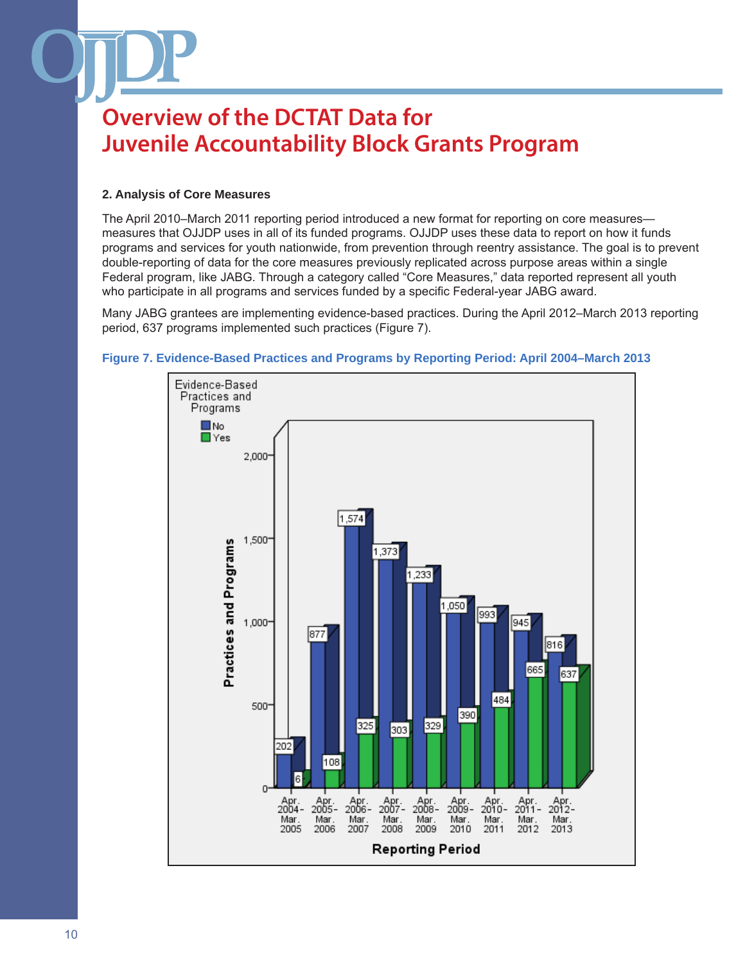### **2. Analysis of Core Measures**

The April 2010–March 2011 reporting period introduced a new format for reporting on core measures measures that OJJDP uses in all of its funded programs. OJJDP uses these data to report on how it funds programs and services for youth nationwide, from prevention through reentry assistance. The goal is to prevent double-reporting of data for the core measures previously replicated across purpose areas within a single Federal program, like JABG. Through a category called "Core Measures," data reported represent all youth who participate in all programs and services funded by a specific Federal-year JABG award.

Many JABG grantees are implementing evidence-based practices. During the April 2012–March 2013 reporting period, 637 programs implemented such practices (Figure 7).



#### **Figure 7. Evidence-Based Practices and Programs by Reporting Period: April 2004–March 2013**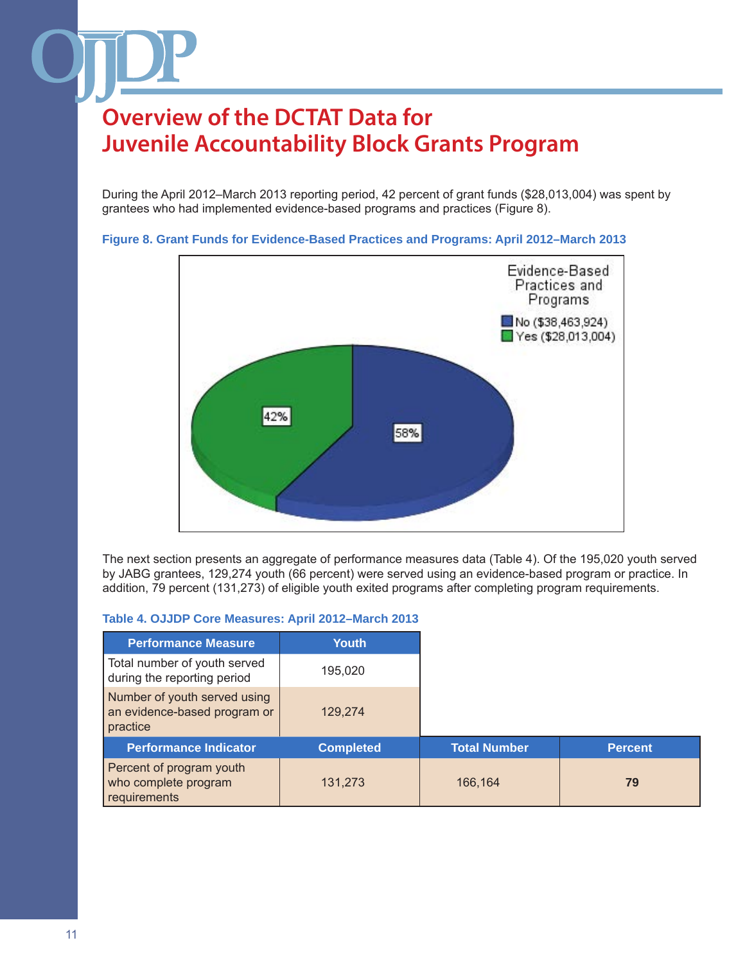During the April 2012–March 2013 reporting period, 42 percent of grant funds (\$28,013,004) was spent by grantees who had implemented evidence-based programs and practices (Figure 8).



**Figure 8. Grant Funds for Evidence-Based Practices and Programs: April 2012–March 2013**

The next section presents an aggregate of performance measures data (Table 4). Of the 195,020 youth served by JABG grantees, 129,274 youth (66 percent) were served using an evidence-based program or practice. In addition, 79 percent (131,273) of eligible youth exited programs after completing program requirements.

#### **Table 4. OJJDP Core Measures: April 2012–March 2013**

| <b>Performance Measure</b>                                               | Youth            |
|--------------------------------------------------------------------------|------------------|
| Total number of youth served<br>during the reporting period              | 195,020          |
| Number of youth served using<br>an evidence-based program or<br>practice | 129,274          |
| <b>Performance Indicator</b>                                             | <b>Completed</b> |
|                                                                          |                  |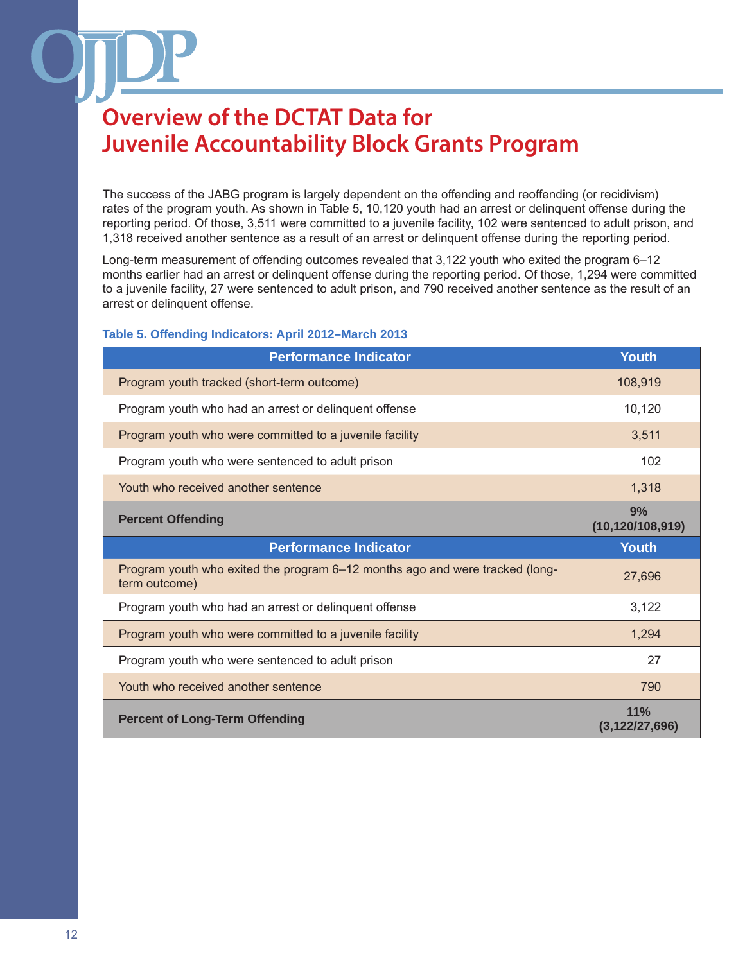The success of the JABG program is largely dependent on the offending and reoffending (or recidivism) rates of the program youth. As shown in Table 5, 10,120 youth had an arrest or delinquent offense during the reporting period. Of those, 3,511 were committed to a juvenile facility, 102 were sentenced to adult prison, and 1,318 received another sentence as a result of an arrest or delinquent offense during the reporting period.

Long-term measurement of offending outcomes revealed that 3,122 youth who exited the program 6–12 months earlier had an arrest or delinquent offense during the reporting period. Of those, 1,294 were committed to a juvenile facility, 27 were sentenced to adult prison, and 790 received another sentence as the result of an arrest or delinquent offense.

### **Table 5. Offending Indicators: April 2012–March 2013**

| <b>Performance Indicator</b>                                                                  | <b>Youth</b>             |
|-----------------------------------------------------------------------------------------------|--------------------------|
| Program youth tracked (short-term outcome)                                                    | 108,919                  |
| Program youth who had an arrest or delinquent offense                                         | 10,120                   |
| Program youth who were committed to a juvenile facility                                       | 3,511                    |
| Program youth who were sentenced to adult prison                                              | 102                      |
| Youth who received another sentence                                                           | 1,318                    |
| <b>Percent Offending</b>                                                                      | 9%<br>(10, 120/108, 919) |
|                                                                                               |                          |
| <b>Performance Indicator</b>                                                                  | <b>Youth</b>             |
| Program youth who exited the program 6-12 months ago and were tracked (long-<br>term outcome) | 27,696                   |
| Program youth who had an arrest or delinguent offense                                         | 3,122                    |
| Program youth who were committed to a juvenile facility                                       | 1,294                    |
| Program youth who were sentenced to adult prison                                              | 27                       |
| Youth who received another sentence                                                           | 790                      |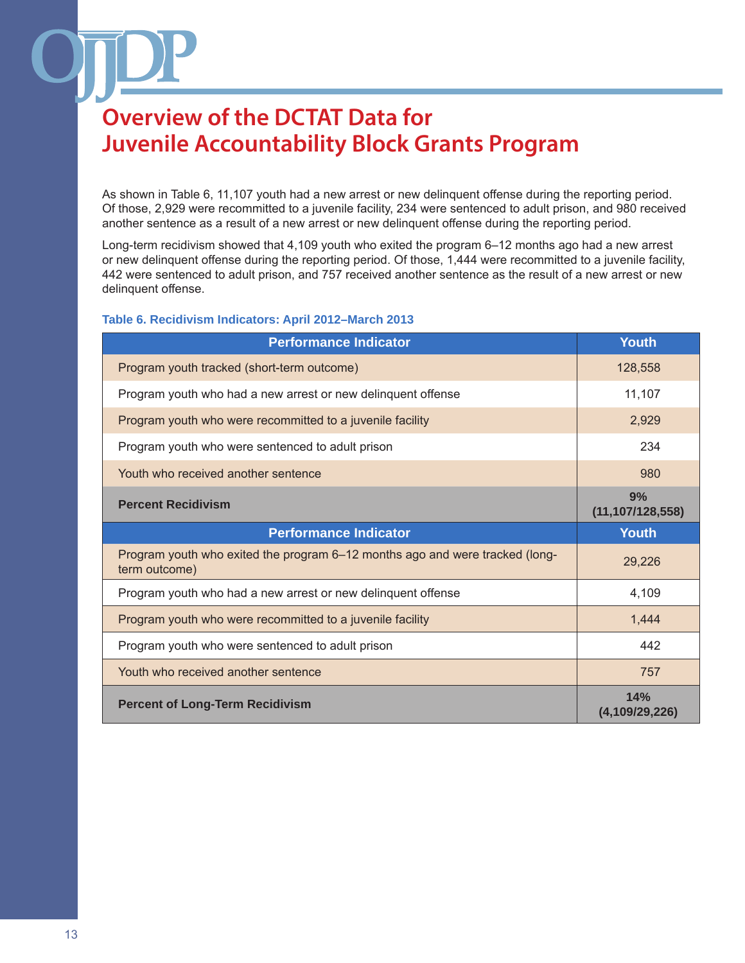As shown in Table 6, 11,107 youth had a new arrest or new delinquent offense during the reporting period. Of those, 2,929 were recommitted to a juvenile facility, 234 were sentenced to adult prison, and 980 received another sentence as a result of a new arrest or new delinquent offense during the reporting period.

Long-term recidivism showed that 4,109 youth who exited the program 6–12 months ago had a new arrest or new delinquent offense during the reporting period. Of those, 1,444 were recommitted to a juvenile facility, 442 were sentenced to adult prison, and 757 received another sentence as the result of a new arrest or new delinquent offense.

#### **Table 6. Recidivism Indicators: April 2012–March 2013**

| <b>Performance Indicator</b>                                                                  | <b>Youth</b>             |
|-----------------------------------------------------------------------------------------------|--------------------------|
| Program youth tracked (short-term outcome)                                                    | 128,558                  |
| Program youth who had a new arrest or new delinquent offense                                  | 11,107                   |
| Program youth who were recommitted to a juvenile facility                                     | 2,929                    |
| Program youth who were sentenced to adult prison                                              | 234                      |
| Youth who received another sentence                                                           | 980                      |
| <b>Percent Recidivism</b>                                                                     | 9%<br>(11, 107/128, 558) |
| <b>Performance Indicator</b>                                                                  |                          |
|                                                                                               | <b>Youth</b>             |
| Program youth who exited the program 6–12 months ago and were tracked (long-<br>term outcome) | 29,226                   |
| Program youth who had a new arrest or new delinguent offense                                  | 4,109                    |
| Program youth who were recommitted to a juvenile facility                                     | 1,444                    |
| Program youth who were sentenced to adult prison                                              | 442                      |
| Youth who received another sentence                                                           | 757                      |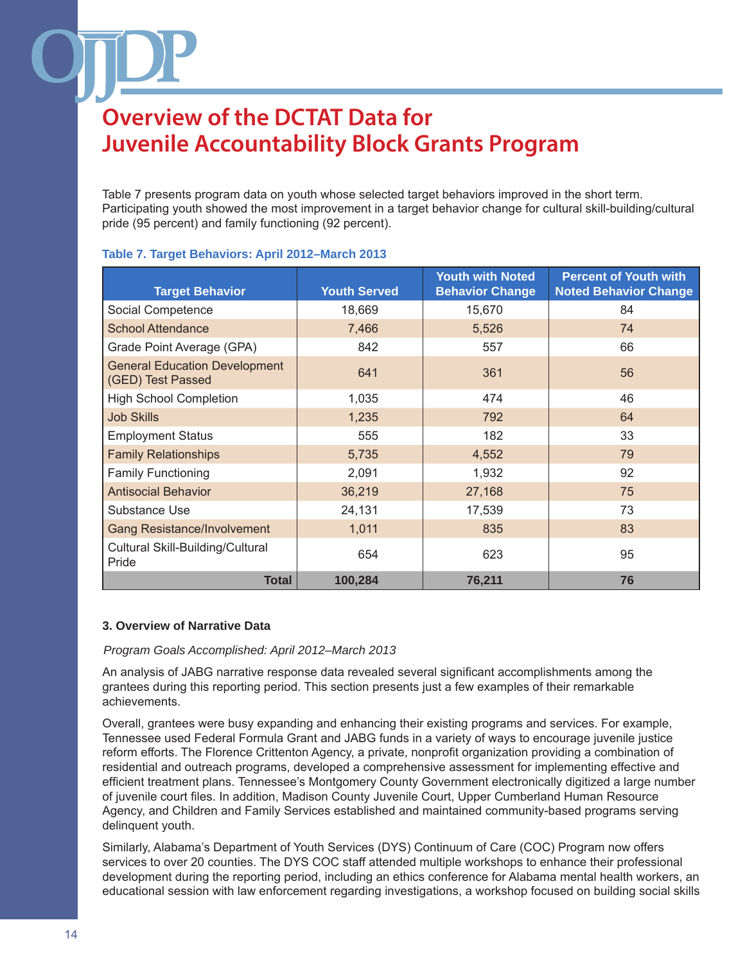Table 7 presents program data on youth whose selected target behaviors improved in the short term. Participating youth showed the most improvement in a target behavior change for cultural skill-building/cultural pride (95 percent) and family functioning (92 percent).

| <b>Target Behavior</b>                                    | <b>Youth Served</b> | <b>Youth with Noted</b><br><b>Behavior Change</b> | <b>Percent of Youth with</b><br><b>Noted Behavior Change</b> |
|-----------------------------------------------------------|---------------------|---------------------------------------------------|--------------------------------------------------------------|
| Social Competence                                         | 18,669              | 15,670                                            | 84                                                           |
| <b>School Attendance</b>                                  | 7,466               | 5,526                                             | 74                                                           |
| Grade Point Average (GPA)                                 | 842                 | 557                                               | 66                                                           |
| <b>General Education Development</b><br>(GED) Test Passed | 641                 | 361                                               | 56                                                           |
| <b>High School Completion</b>                             | 1,035               | 474                                               | 46                                                           |
| <b>Job Skills</b>                                         | 1,235               | 792                                               | 64                                                           |
| <b>Employment Status</b>                                  | 555                 | 182                                               | 33                                                           |
| <b>Family Relationships</b>                               | 5,735               | 4,552                                             | 79                                                           |
| <b>Family Functioning</b>                                 | 2,091               | 1,932                                             | 92                                                           |
| <b>Antisocial Behavior</b>                                | 36,219              | 27,168                                            | 75                                                           |
| Substance Use                                             | 24,131              | 17,539                                            | 73                                                           |
| <b>Gang Resistance/Involvement</b>                        | 1,011               | 835                                               | 83                                                           |
| Cultural Skill-Building/Cultural<br>Pride                 | 654                 | 623                                               | 95                                                           |
| <b>Total</b>                                              | 100,284             | 76,211                                            | 76                                                           |

### **Table 7. Target Behaviors: April 2012–March 2013**

### **3. Overview of Narrative Data**

#### *Program Goals Accomplished: April 2012–March 2013*

An analysis of JABG narrative response data revealed several significant accomplishments among the grantees during this reporting period. This section presents just a few examples of their remarkable achievements.

Overall, grantees were busy expanding and enhancing their existing programs and services. For example, Tennessee used Federal Formula Grant and JABG funds in a variety of ways to encourage juvenile justice reform efforts. The Florence Crittenton Agency, a private, nonprofit organization providing a combination of residential and outreach programs, developed a comprehensive assessment for implementing effective and efficient treatment plans. Tennessee's Montgomery County Government electronically digitized a large number of juvenile court files. In addition, Madison County Juvenile Court, Upper Cumberland Human Resource Agency, and Children and Family Services established and maintained community-based programs serving delinquent youth.

Similarly, Alabama's Department of Youth Services (DYS) Continuum of Care (COC) Program now offers services to over 20 counties. The DYS COC staff attended multiple workshops to enhance their professional development during the reporting period, including an ethics conference for Alabama mental health workers, an educational session with law enforcement regarding investigations, a workshop focused on building social skills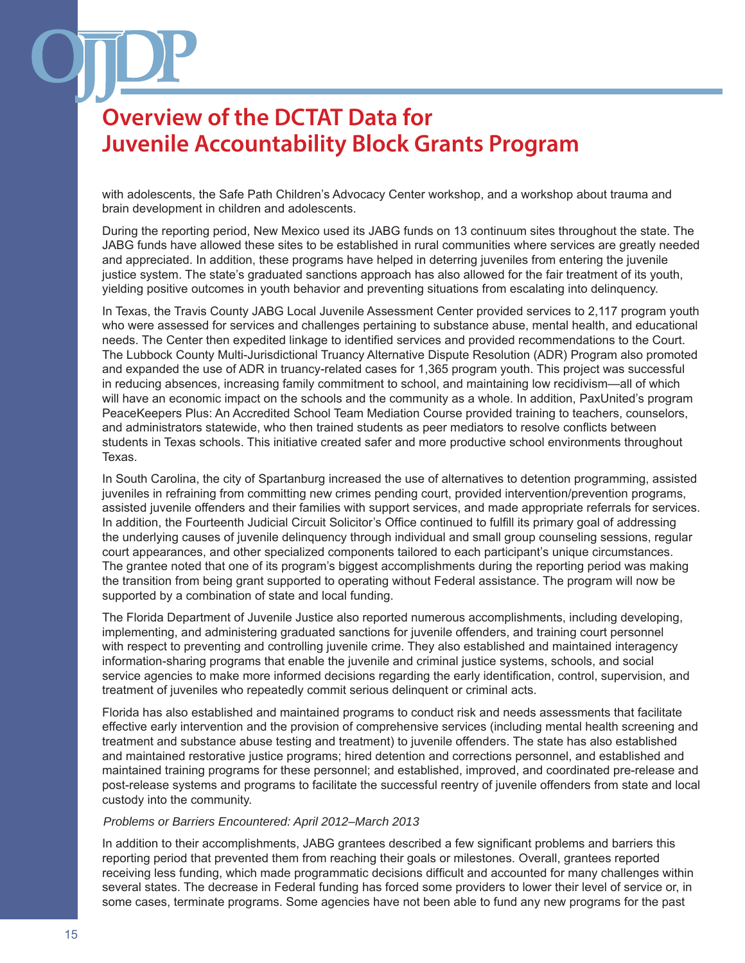with adolescents, the Safe Path Children's Advocacy Center workshop, and a workshop about trauma and brain development in children and adolescents.

During the reporting period, New Mexico used its JABG funds on 13 continuum sites throughout the state. The JABG funds have allowed these sites to be established in rural communities where services are greatly needed and appreciated. In addition, these programs have helped in deterring juveniles from entering the juvenile justice system. The state's graduated sanctions approach has also allowed for the fair treatment of its youth, yielding positive outcomes in youth behavior and preventing situations from escalating into delinquency.

In Texas, the Travis County JABG Local Juvenile Assessment Center provided services to 2,117 program youth who were assessed for services and challenges pertaining to substance abuse, mental health, and educational needs. The Center then expedited linkage to identified services and provided recommendations to the Court. The Lubbock County Multi-Jurisdictional Truancy Alternative Dispute Resolution (ADR) Program also promoted and expanded the use of ADR in truancy-related cases for 1,365 program youth. This project was successful in reducing absences, increasing family commitment to school, and maintaining low recidivism—all of which will have an economic impact on the schools and the community as a whole. In addition, PaxUnited's program PeaceKeepers Plus: An Accredited School Team Mediation Course provided training to teachers, counselors, and administrators statewide, who then trained students as peer mediators to resolve conflicts between students in Texas schools. This initiative created safer and more productive school environments throughout Texas.

In South Carolina, the city of Spartanburg increased the use of alternatives to detention programming, assisted juveniles in refraining from committing new crimes pending court, provided intervention/prevention programs, assisted juvenile offenders and their families with support services, and made appropriate referrals for services. In addition, the Fourteenth Judicial Circuit Solicitor's Office continued to fulfill its primary goal of addressing the underlying causes of juvenile delinquency through individual and small group counseling sessions, regular court appearances, and other specialized components tailored to each participant's unique circumstances. The grantee noted that one of its program's biggest accomplishments during the reporting period was making the transition from being grant supported to operating without Federal assistance. The program will now be supported by a combination of state and local funding.

The Florida Department of Juvenile Justice also reported numerous accomplishments, including developing, implementing, and administering graduated sanctions for juvenile offenders, and training court personnel with respect to preventing and controlling juvenile crime. They also established and maintained interagency information-sharing programs that enable the juvenile and criminal justice systems, schools, and social service agencies to make more informed decisions regarding the early identification, control, supervision, and treatment of juveniles who repeatedly commit serious delinquent or criminal acts.

Florida has also established and maintained programs to conduct risk and needs assessments that facilitate effective early intervention and the provision of comprehensive services (including mental health screening and treatment and substance abuse testing and treatment) to juvenile offenders. The state has also established and maintained restorative justice programs; hired detention and corrections personnel, and established and maintained training programs for these personnel; and established, improved, and coordinated pre-release and post-release systems and programs to facilitate the successful reentry of juvenile offenders from state and local custody into the community.

#### *Problems or Barriers Encountered: April 2012–March 2013*

In addition to their accomplishments, JABG grantees described a few significant problems and barriers this reporting period that prevented them from reaching their goals or milestones. Overall, grantees reported receiving less funding, which made programmatic decisions difficult and accounted for many challenges within several states. The decrease in Federal funding has forced some providers to lower their level of service or, in some cases, terminate programs. Some agencies have not been able to fund any new programs for the past